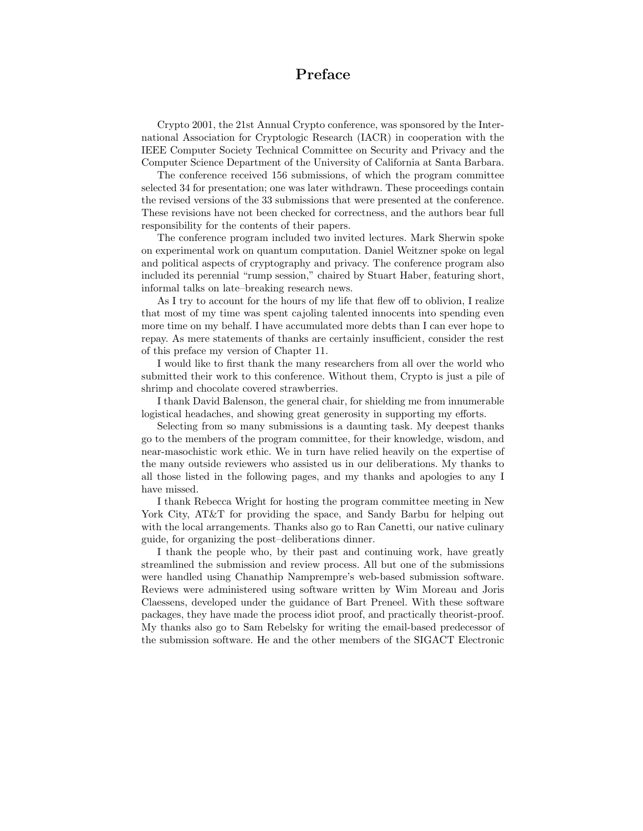## Preface

Crypto 2001, the 21st Annual Crypto conference, was sponsored by the International Association for Cryptologic Research (IACR) in cooperation with the IEEE Computer Society Technical Committee on Security and Privacy and the Computer Science Department of the University of California at Santa Barbara.

The conference received 156 submissions, of which the program committee selected 34 for presentation; one was later withdrawn. These proceedings contain the revised versions of the 33 submissions that were presented at the conference. These revisions have not been checked for correctness, and the authors bear full responsibility for the contents of their papers.

The conference program included two invited lectures. Mark Sherwin spoke on experimental work on quantum computation. Daniel Weitzner spoke on legal and political aspects of cryptography and privacy. The conference program also included its perennial "rump session," chaired by Stuart Haber, featuring short, informal talks on late–breaking research news.

As I try to account for the hours of my life that flew off to oblivion, I realize that most of my time was spent cajoling talented innocents into spending even more time on my behalf. I have accumulated more debts than I can ever hope to repay. As mere statements of thanks are certainly insufficient, consider the rest of this preface my version of Chapter 11.

I would like to first thank the many researchers from all over the world who submitted their work to this conference. Without them, Crypto is just a pile of shrimp and chocolate covered strawberries.

I thank David Balenson, the general chair, for shielding me from innumerable logistical headaches, and showing great generosity in supporting my efforts.

Selecting from so many submissions is a daunting task. My deepest thanks go to the members of the program committee, for their knowledge, wisdom, and near-masochistic work ethic. We in turn have relied heavily on the expertise of the many outside reviewers who assisted us in our deliberations. My thanks to all those listed in the following pages, and my thanks and apologies to any I have missed.

I thank Rebecca Wright for hosting the program committee meeting in New York City, AT&T for providing the space, and Sandy Barbu for helping out with the local arrangements. Thanks also go to Ran Canetti, our native culinary guide, for organizing the post–deliberations dinner.

I thank the people who, by their past and continuing work, have greatly streamlined the submission and review process. All but one of the submissions were handled using Chanathip Namprempre's web-based submission software. Reviews were administered using software written by Wim Moreau and Joris Claessens, developed under the guidance of Bart Preneel. With these software packages, they have made the process idiot proof, and practically theorist-proof. My thanks also go to Sam Rebelsky for writing the email-based predecessor of the submission software. He and the other members of the SIGACT Electronic